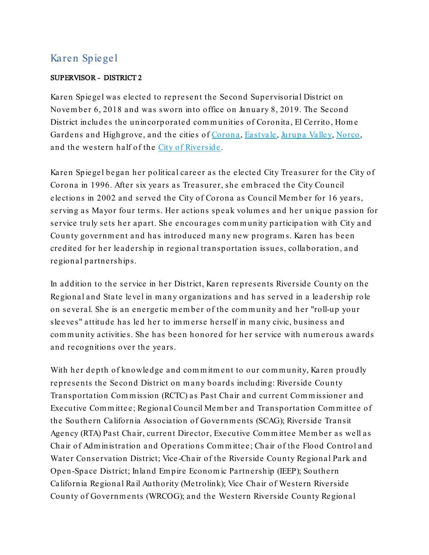## Karen Spiegel

## SUPERVISOR - DISTRICT 2

Karen Spiegel was ele cted to represent the Second Supervisorial District on Novem ber 6, 2018 and was sworn into office on January 8, 2019. The Second District includes the unincorporated com m unities of Coronita, El Cerrito, Hom e Gardens and Highgrove, and the cities of [Corona](https://www.coronaca.gov/), [Eastvale](https://www.eastvaleca.gov/), [Jurupa](http://www.jurupavalley.org/) Valley, [Norco,](http://www.norco.ca.us/) and the western half of the City of [Riverside](http://www.riversideca.gov/) .

Karen Spiegel began her political career as the elected City Treasurer for the City of Corona in 1996. After six years as Treasurer, she em braced the City Council elections in 2002 and served the City of Corona as Council Mem ber for 16 years, serving as Mayor four term s. Her actions speak volum es and her unique passion for service truly sets her apart. She encourages com m unity participation with City and County government and has introduced many new programs. Karen has been credited for her leade rship in regional transportation issues, collaboration, and regional partnerships.

In addition to the service in her District, Karen represents Riverside County on the Regional and State le vel in m any organizations and has served in a leadership role on several. She is an energetic m em ber of the com m unity and her "roll-up your sleeves" attitude has led her to im m erse he rself in m any civic, business and community activities. She has been honored for her service with numerous awards and recognitions over the years.

With her depth of knowledge and commitment to our community, Karen proudly represents the Second District on m any boards including: Riverside County Transportation Com m ission (RCTC) as Past Chair and current Com m issioner and Executive Committee; Regional Council Member and Transportation Committee of the Southern California Association of Gove rnm ents (SCAG); Riverside Transit Agency (RTA) Past Chair, current Director, Executive Committee Member as well as Chair of Adm inistration and Operations Com m ittee; Chair of the Flood Control and Water Conservation District; Vice -Chair of the Riverside County Regional Park and Open-Space District; Inland Em pire Econom ic Partnership (IEEP); Southern California Regional Ra il Authority (Metrolink); Vice Chair of Western Riverside County of Governments (WRCOG); and the Western Riverside County Regional